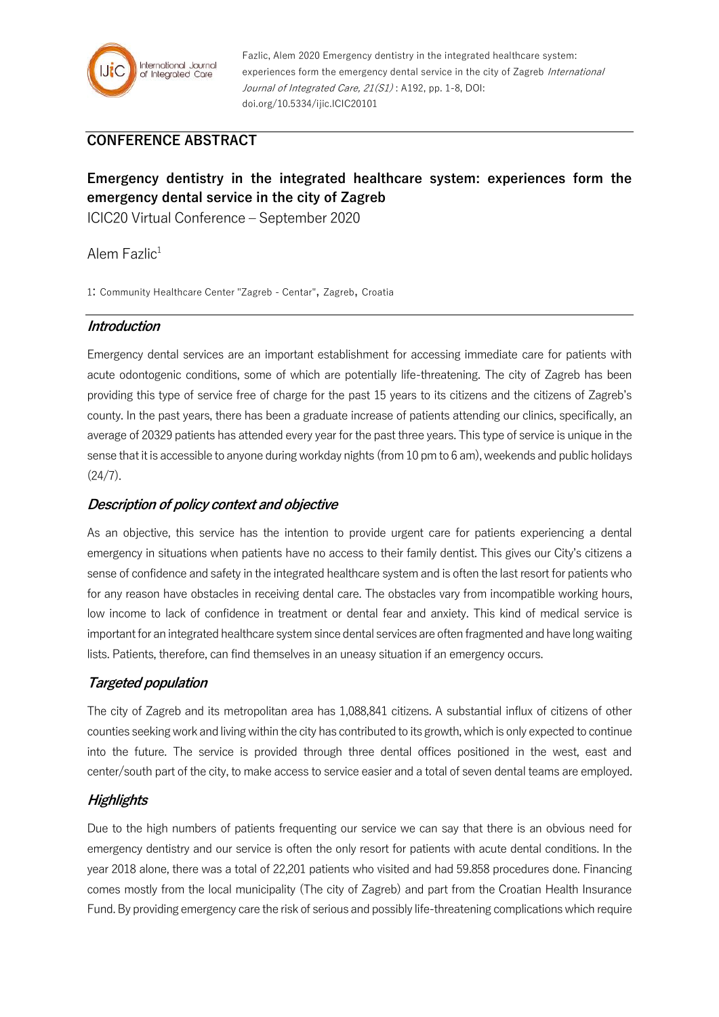

Fazlic, Alem 2020 Emergency dentistry in the integrated healthcare system: experiences form the emergency dental service in the city of Zagreb International Journal of Integrated Care, 21(S1): A192, pp. 1-8, DOI: doi.org/10.5334/ijic.ICIC20101

## **CONFERENCE ABSTRACT**

# **Emergency dentistry in the integrated healthcare system: experiences form the emergency dental service in the city of Zagreb**

ICIC20 Virtual Conference – September 2020

Alem Fazlic $1$ 

1: Community Healthcare Center "Zagreb - Centar", Zagreb, Croatia

#### **Introduction**

Emergency dental services are an important establishment for accessing immediate care for patients with acute odontogenic conditions, some of which are potentially life-threatening. The city of Zagreb has been providing this type of service free of charge for the past 15 years to its citizens and the citizens of Zagreb's county. In the past years, there has been a graduate increase of patients attending our clinics, specifically, an average of 20329 patients has attended every year for the past three years. This type of service is unique in the sense that it is accessible to anyone during workday nights (from 10 pm to 6 am), weekends and public holidays  $(24/7).$ 

#### **Description of policy context and objective**

As an objective, this service has the intention to provide urgent care for patients experiencing a dental emergency in situations when patients have no access to their family dentist. This gives our City's citizens a sense of confidence and safety in the integrated healthcare system and is often the last resort for patients who for any reason have obstacles in receiving dental care. The obstacles vary from incompatible working hours, low income to lack of confidence in treatment or dental fear and anxiety. This kind of medical service is important for an integrated healthcare system since dental services are often fragmented and have long waiting lists. Patients, therefore, can find themselves in an uneasy situation if an emergency occurs.

#### **Targeted population**

The city of Zagreb and its metropolitan area has 1,088,841 citizens. A substantial influx of citizens of other counties seeking work and living within the city has contributed to its growth, which is only expected to continue into the future. The service is provided through three dental offices positioned in the west, east and center/south part of the city, to make access to service easier and a total of seven dental teams are employed.

### **Highlights**

Due to the high numbers of patients frequenting our service we can say that there is an obvious need for emergency dentistry and our service is often the only resort for patients with acute dental conditions. In the year 2018 alone, there was a total of 22,201 patients who visited and had 59.858 procedures done. Financing comes mostly from the local municipality (The city of Zagreb) and part from the Croatian Health Insurance Fund. By providing emergency care the risk of serious and possibly life-threatening complications which require